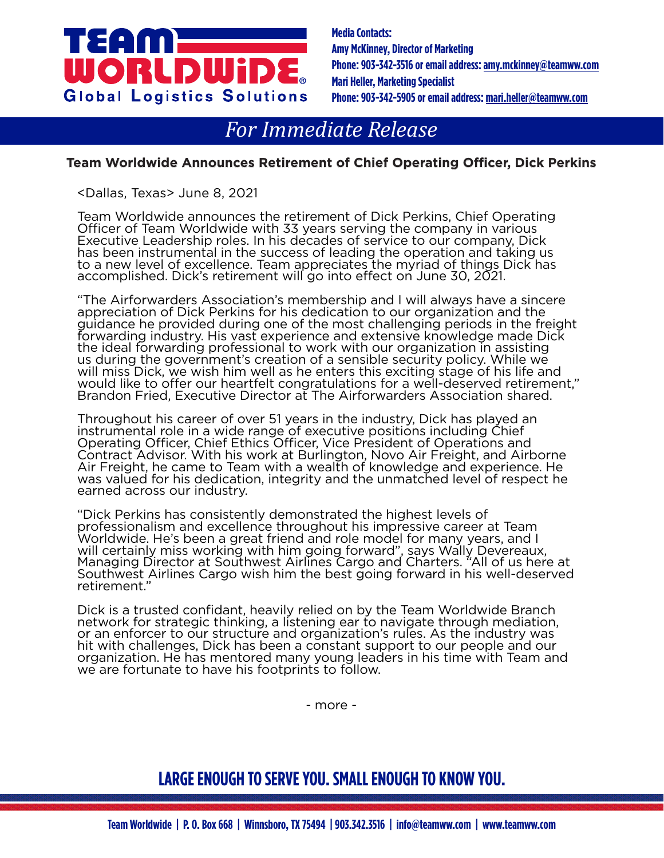# ra:Inb WORLDWi **Global Logistics Solutions**

**Media Contacts: Amy McKinney, Director of Marketing Phone: 903-342-3516 or email address:am[y.mckinney@teamww.com](mailto:lawanda.ray%40teamww.com?subject=Press%20Release) Mari Heller, Marketing Specialist Phone: 903-342-5905 or email address: mari.helle[r@teamww.com](mailto:lawanda.ray%40teamww.com?subject=Press%20Release)**

## *For Immediate Release*

#### **Team Worldwide Announces Retirement of Chief Operating Officer, Dick Perkins**

<Dallas, Texas> June 8, 2021

Team Worldwide announces the retirement of Dick Perkins, Chief Operating Officer of Team Worldwide with 33 years serving the company in various Executive Leadership roles. In his decades of service to our company, Dick has been instrumental in the success of leading the operation and taking us to a new level of excellence. Team appreciates the myriad of things Dick has accomplished. Dick's retirement will go into effect on June 30, 2021.

"The Airforwarders Association's membership and I will always have a sincere appreciation of Dick Perkins for his dedication to our organization and the guidance he provided during one of the most challenging periods in the freight forwarding industry. His vast experience and extensive knowledge made Dick the ideal forwarding professional to work with our organization in assisting us during the government's creation of a sensible security policy. While we will miss Dick, we wish him well as he enters this exciting stage of his life and would like to offer our heartfelt congratulations for a well-deserved retirement," Brandon Fried, Executive Director at The Airforwarders Association shared.

Throughout his career of over 51 years in the industry, Dick has played an instrumental role in a wide range of executive positions including Chief Operating Officer, Chief Ethics Officer, Vice President of Operations and Contract Advisor. With his work at Burlington, Novo Air Freight, and Airborne Air Freight, he came to Team with a wealth of knowledge and experience. He was valued for his dedication, integrity and the unmatched level of respect he earned across our industry.

"Dick Perkins has consistently demonstrated the highest levels of professionalism and excellence throughout his impressive career at Team Worldwide. He's been a great friend and role model for many years, and I will certainly miss working with him going forward", says Wally Devereaux, Managing Director at Southwest Airlines Cargo and Charters. "All of us here at Southwest Airlines Cargo wish him the best going forward in his well-deserved retirement."

Dick is a trusted confidant, heavily relied on by the Team Worldwide Branch network for strategic thinking, a listening ear to navigate through mediation, or an enforcer to our structure and organization's rules. As the industry was hit with challenges, Dick has been a constant support to our people and our organization. He has mentored many young leaders in his time with Team and we are fortunate to have his footprints to follow.

- more -

### **LARGE ENOUGH TO SERVE YOU. SMALL ENOUGH TO KNOW YOU.**